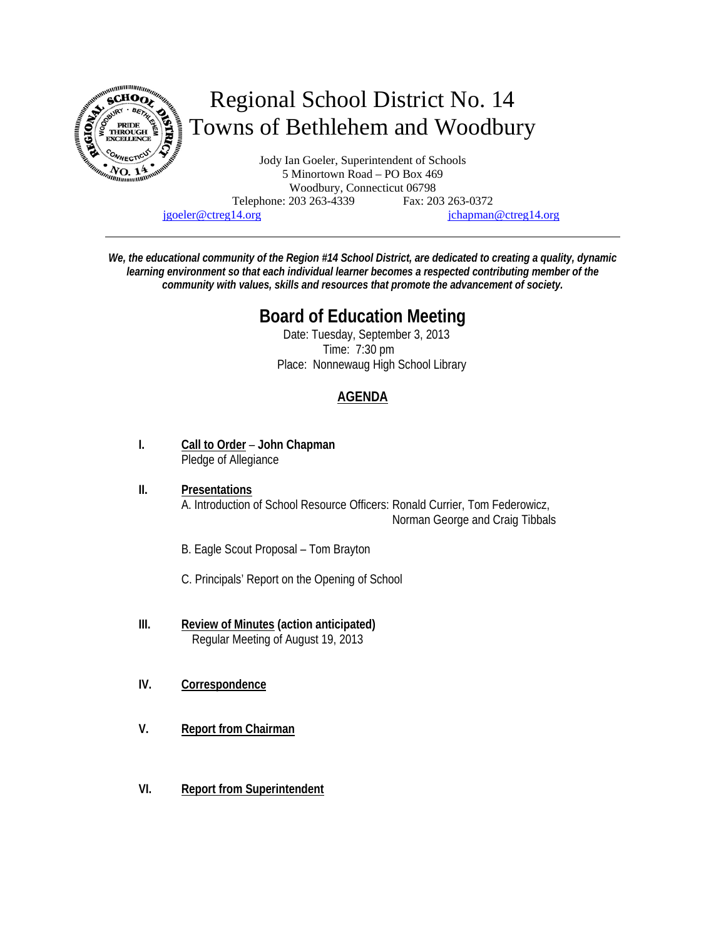

jgoeler@ctreg14.org jchapman@ctreg14.org

*We, the educational community of the Region #14 School District, are dedicated to creating a quality, dynamic learning environment so that each individual learner becomes a respected contributing member of the community with values, skills and resources that promote the advancement of society.* 

# **Board of Education Meeting**

 Date: Tuesday, September 3, 2013 Time: 7:30 pm Place: Nonnewaug High School Library

# **AGENDA**

- **I. Call to Order John Chapman** Pledge of Allegiance
- **II. Presentations** A. Introduction of School Resource Officers: Ronald Currier, Tom Federowicz, Norman George and Craig Tibbals
	- B. Eagle Scout Proposal Tom Brayton

C. Principals' Report on the Opening of School

- **III. Review of Minutes (action anticipated)** Regular Meeting of August 19, 2013
- **IV. Correspondence**
- **V. Report from Chairman**
- **VI. Report from Superintendent**